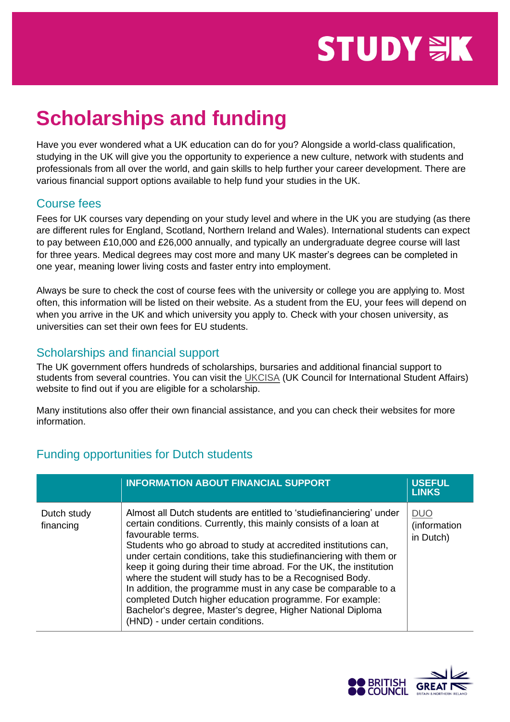# **STUDY WK**

## **Scholarships and funding**

Have you ever wondered what a UK education can do for you? Alongside a world-class qualification, studying in the UK will give you the opportunity to experience a new culture, network with students and professionals from all over the world, and gain skills to help further your career development. There are various financial support options available to help fund your studies in the UK.

#### Course fees

Fees for UK courses vary depending on your study level and where in the UK you are studying (as there are different rules for England, Scotland, Northern Ireland and Wales). International students can expect to pay between £10,000 and £26,000 annually, and typically an undergraduate degree course will last for three years. Medical degrees may cost more and many UK master's degrees can be completed in one year, meaning lower living costs and faster entry into employment.

Always be sure to check the cost of course fees with the university or college you are applying to. Most often, this information will be listed on their website. As a student from the EU, your fees will depend on when you arrive in the UK and which university you apply to. Check with your chosen university, as universities can set their own fees for EU students.

#### Scholarships and financial support

The UK government offers hundreds of scholarships, bursaries and additional financial support to students from several countries. You can visit the [UKCISA](https://www.ukcisa.org.uk/Information--Advice/Fees-and-Money/Government-Student-Support) (UK Council for International Student Affairs) website to find out if you are eligible for a scholarship.

Many institutions also offer their own financial assistance, and you can check their websites for more information.

### Funding opportunities for Dutch students

|                          | <b>INFORMATION ABOUT FINANCIAL SUPPORT</b>                                                                                                                                                                                                                                                                                                                                                                                                                                                                                                                                                                                                                                    | <b>USEFUL</b><br><b>LINKS</b>           |
|--------------------------|-------------------------------------------------------------------------------------------------------------------------------------------------------------------------------------------------------------------------------------------------------------------------------------------------------------------------------------------------------------------------------------------------------------------------------------------------------------------------------------------------------------------------------------------------------------------------------------------------------------------------------------------------------------------------------|-----------------------------------------|
| Dutch study<br>financing | Almost all Dutch students are entitled to 'studiefinanciering' under<br>certain conditions. Currently, this mainly consists of a loan at<br>favourable terms.<br>Students who go abroad to study at accredited institutions can,<br>under certain conditions, take this studiefinanciering with them or<br>keep it going during their time abroad. For the UK, the institution<br>where the student will study has to be a Recognised Body.<br>In addition, the programme must in any case be comparable to a<br>completed Dutch higher education programme. For example:<br>Bachelor's degree, Master's degree, Higher National Diploma<br>(HND) - under certain conditions. | <b>DUO</b><br>(information<br>in Dutch) |